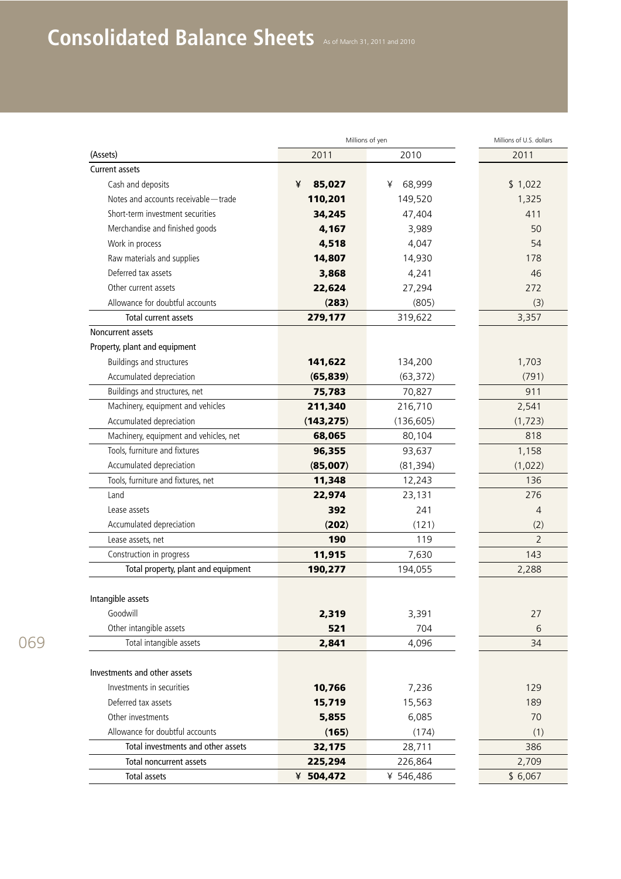## Consolidated Balance Sheets As of March 31, 2011 and 2010

|                                        | Millions of yen |             | Millions of U.S. dollars |
|----------------------------------------|-----------------|-------------|--------------------------|
| (Assets)                               | 2011            | 2010        | 2011                     |
| <b>Current assets</b>                  |                 |             |                          |
| Cash and deposits                      | ¥<br>85,027     | 68,999<br>¥ | \$1,022                  |
| Notes and accounts receivable - trade  | 110,201         | 149,520     | 1,325                    |
| Short-term investment securities       | 34,245          | 47,404      | 411                      |
| Merchandise and finished goods         | 4,167           | 3,989       | 50                       |
| Work in process                        | 4,518           | 4,047       | 54                       |
| Raw materials and supplies             | 14,807          | 14,930      | 178                      |
| Deferred tax assets                    | 3,868           | 4,241       | 46                       |
| Other current assets                   | 22,624          | 27,294      | 272                      |
| Allowance for doubtful accounts        | (283)           | (805)       | (3)                      |
| Total current assets                   | 279,177         | 319,622     | 3,357                    |
| Noncurrent assets                      |                 |             |                          |
| Property, plant and equipment          |                 |             |                          |
| Buildings and structures               | 141,622         | 134,200     | 1,703                    |
| Accumulated depreciation               | (65, 839)       | (63, 372)   | (791)                    |
| Buildings and structures, net          | 75,783          | 70,827      | 911                      |
| Machinery, equipment and vehicles      | 211,340         | 216,710     | 2,541                    |
| Accumulated depreciation               | (143, 275)      | (136, 605)  | (1, 723)                 |
| Machinery, equipment and vehicles, net | 68,065          | 80,104      | 818                      |
| Tools, furniture and fixtures          | 96,355          | 93,637      | 1,158                    |
| Accumulated depreciation               | (85,007)        | (81, 394)   | (1,022)                  |
| Tools, furniture and fixtures, net     | 11,348          | 12,243      | 136                      |
| Land                                   | 22,974          | 23,131      | 276                      |
| Lease assets                           | 392             | 241         | $\overline{4}$           |
| Accumulated depreciation               | (202)           | (121)       | (2)                      |
| Lease assets, net                      | 190             | 119         | $\overline{2}$           |
| Construction in progress               | 11,915          | 7,630       | 143                      |
| Total property, plant and equipment    | 190,277         | 194,055     | 2,288                    |
|                                        |                 |             |                          |
| Intangible assets                      |                 |             |                          |
| Goodwill                               | 2,319           | 3,391       | 27                       |
| Other intangible assets                | 521             | 704         | 6                        |
| Total intangible assets                | 2,841           | 4,096       | 34                       |
|                                        |                 |             |                          |
| Investments and other assets           |                 |             |                          |
| Investments in securities              | 10,766          | 7,236       | 129                      |
| Deferred tax assets                    | 15,719          | 15,563      | 189                      |
| Other investments                      | 5,855           | 6,085       | 70                       |
| Allowance for doubtful accounts        | (165)           | (174)       | (1)                      |
| Total investments and other assets     | 32,175          | 28,711      | 386                      |
| Total noncurrent assets                | 225,294         | 226,864     | 2,709                    |
| <b>Total assets</b>                    | ¥ 504,472       | ¥ 546,486   | \$6,067                  |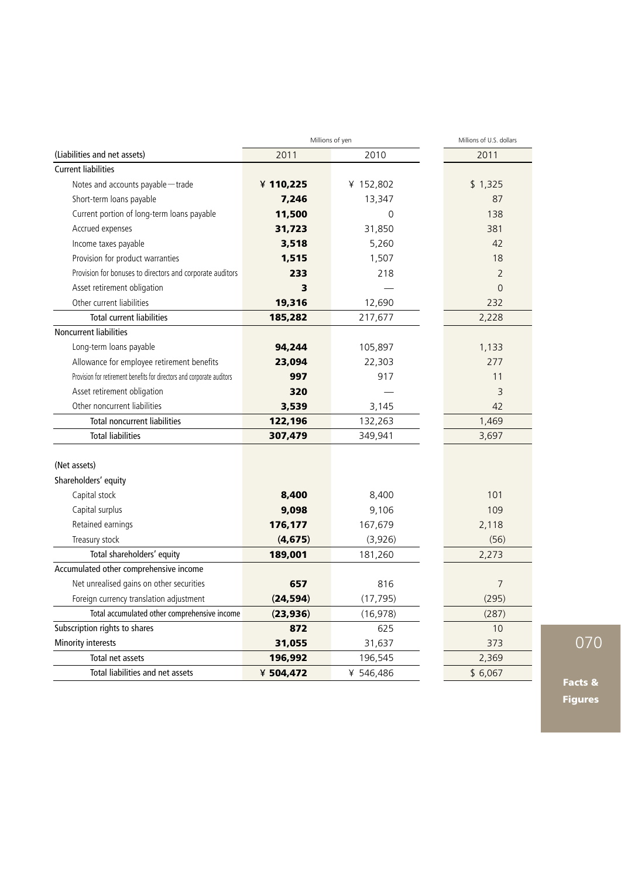|                                                                        | Millions of yen | Millions of U.S. dollars |                |
|------------------------------------------------------------------------|-----------------|--------------------------|----------------|
| (Liabilities and net assets)                                           | 2011            | 2010                     | 2011           |
| <b>Current liabilities</b>                                             |                 |                          |                |
| Notes and accounts payable-trade                                       | ¥ 110,225       | ¥ 152,802                | \$1,325        |
| Short-term loans payable                                               | 7,246           | 13,347                   | 87             |
| Current portion of long-term loans payable                             | 11,500          | $\overline{0}$           | 138            |
| Accrued expenses                                                       | 31,723          | 31,850                   | 381            |
| Income taxes payable                                                   | 3,518           | 5,260                    | 42             |
| Provision for product warranties                                       | 1,515           | 1,507                    | 18             |
| Provision for bonuses to directors and corporate auditors              | 233             | 218                      | $\overline{2}$ |
| Asset retirement obligation                                            | 3               |                          | $\overline{0}$ |
| Other current liabilities                                              | 19,316          | 12,690                   | 232            |
| <b>Total current liabilities</b>                                       | 185,282         | 217,677                  | 2,228          |
| Noncurrent liabilities                                                 |                 |                          |                |
| Long-term loans payable                                                | 94,244          | 105,897                  | 1,133          |
| Allowance for employee retirement benefits                             | 23,094          | 22,303                   | 277            |
| Provision for retirement benefits for directors and corporate auditors | 997             | 917                      | 11             |
| Asset retirement obligation                                            | 320             |                          | 3              |
| Other noncurrent liabilities                                           | 3,539           | 3,145                    | 42             |
| <b>Total noncurrent liabilities</b>                                    | 122,196         | 132,263                  | 1,469          |
| <b>Total liabilities</b>                                               | 307,479         | 349,941                  | 3,697          |
| (Net assets)                                                           |                 |                          |                |
| Shareholders' equity                                                   |                 |                          |                |
| Capital stock                                                          | 8,400           | 8,400                    | 101            |
| Capital surplus                                                        | 9,098           | 9,106                    | 109            |
| Retained earnings                                                      | 176,177         | 167,679                  | 2,118          |
| Treasury stock                                                         | (4, 675)        | (3,926)                  | (56)           |
| Total shareholders' equity                                             | 189,001         | 181,260                  | 2,273          |
| Accumulated other comprehensive income                                 |                 |                          |                |
| Net unrealised gains on other securities                               | 657             | 816                      | $\overline{7}$ |
| Foreign currency translation adjustment                                | (24, 594)       | (17, 795)                | (295)          |
| Total accumulated other comprehensive income                           | (23, 936)       | (16, 978)                | (287)          |
| Subscription rights to shares                                          | 872             | 625                      | 10             |
| Minority interests                                                     | 31,055          | 31,637                   | 373            |
| Total net assets                                                       | 196,992         | 196,545                  | 2,369          |
| Total liabilities and net assets                                       | ¥ 504,472       | ¥ 546,486                | \$6,067        |

Facts & Figures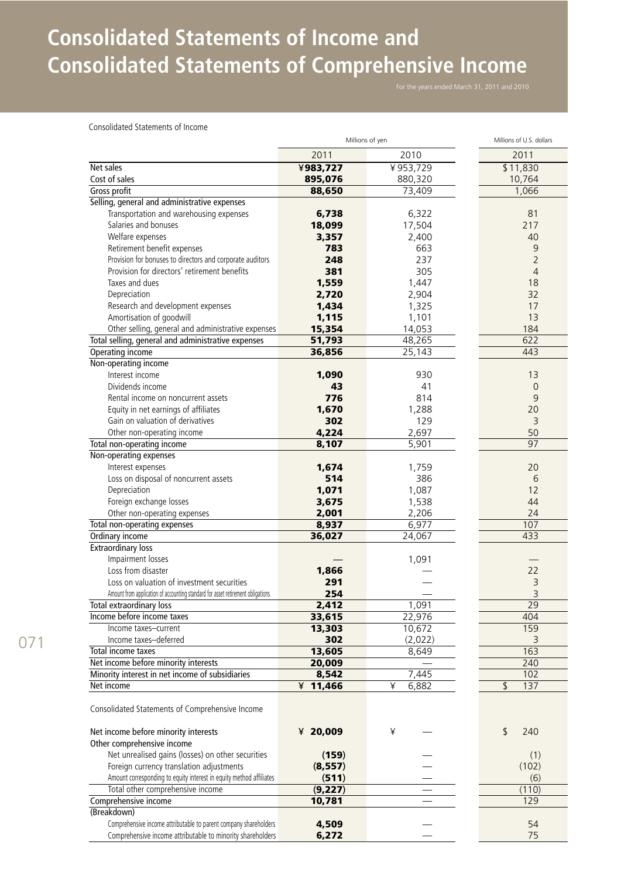## **Consolidated Statements of Income and Consolidated Statements of Comprehensive Income**

Consolidated Statements of Income

| 2011<br>2010<br>2011<br>Net sales<br>¥983,727<br>¥953,729<br>\$11,830<br>Cost of sales<br>895,076<br>880,320<br>10,764<br>88,650<br>73,409<br>1,066<br>Gross profit<br>Selling, general and administrative expenses<br>Transportation and warehousing expenses<br>81<br>6,738<br>6,322<br>Salaries and bonuses<br>18,099<br>217<br>17,504<br>3,357<br>40<br>Welfare expenses<br>2,400<br>Retirement benefit expenses<br>783<br>663<br>$\overline{9}$<br>Provision for bonuses to directors and corporate auditors<br>237<br>$\overline{2}$<br>248<br>381<br>305<br>$\overline{4}$<br>Provision for directors' retirement benefits<br>Taxes and dues<br>1,559<br>1,447<br>18<br>32<br>Depreciation<br>2,720<br>2,904<br>Research and development expenses<br>1,434<br>17<br>1,325<br>13<br>Amortisation of goodwill<br>1,115<br>1,101<br>14,053<br>Other selling, general and administrative expenses<br>15,354<br>184<br>51,793<br>48,265<br>Total selling, general and administrative expenses<br>622<br>Operating income<br>36,856<br>25,143<br>443<br>Non-operating income<br>Interest income<br>1,090<br>930<br>13<br>Dividends income<br>43<br>41<br>$\mathbf 0$<br>776<br>814<br>9<br>Rental income on noncurrent assets<br>1,670<br>20<br>Equity in net earnings of affiliates<br>1,288<br>Gain on valuation of derivatives<br>302<br>129<br>3<br>Other non-operating income<br>4,224<br>2,697<br>50<br>97<br>Total non-operating income<br>8,107<br>5,901<br>Non-operating expenses<br>Interest expenses<br>1,674<br>1,759<br>20<br>514<br>Loss on disposal of noncurrent assets<br>386<br>6<br>1,071<br>Depreciation<br>1,087<br>12<br>Foreign exchange losses<br>3,675<br>44<br>1,538<br>Other non-operating expenses<br>2,001<br>24<br>2,206<br>6,977<br>Total non-operating expenses<br>8,937<br>107<br>433<br>Ordinary income<br>36,027<br>24,067<br><b>Extraordinary loss</b><br>Impairment losses<br>1,091<br>Loss from disaster<br>1,866<br>22<br>3<br>Loss on valuation of investment securities<br>291<br>$\overline{3}$<br>Amount from application of accounting standard for asset retirement obligations<br>254<br>1,091<br>$\overline{29}$<br>2,412<br>Total extraordinary loss<br>22,976<br>Income before income taxes<br>33,615<br>404<br>10,672<br>159<br>13,303<br>Income taxes-current<br>Income taxes-deferred<br>302<br>(2,022)<br>3<br>13,605<br>163<br>Total income taxes<br>8,649<br>Net income before minority interests<br>240<br>20,009<br>Minority interest in net income of subsidiaries<br>7,445<br>102<br>8,542<br>¥<br>6,882<br>\$<br>137<br>¥ $11,466$<br>Net income<br>Consolidated Statements of Comprehensive Income<br>Net income before minority interests<br>20,009<br>¥<br>\$<br>240<br>¥<br>Other comprehensive income<br>Net unrealised gains (losses) on other securities<br>(159)<br>(1)<br>(102)<br>Foreign currency translation adjustments<br>(8,557)<br>Amount corresponding to equity interest in equity method affiliates<br>(511)<br>(6)<br>Total other comprehensive income<br>(9,227)<br>(110)<br>Comprehensive income<br>10,781<br>129<br>(Breakdown)<br>Comprehensive income attributable to parent company shareholders<br>4,509<br>54<br>Comprehensive income attributable to minority shareholders<br>6,272<br>75 | Millions of yen |  | Millions of U.S. dollars |
|-------------------------------------------------------------------------------------------------------------------------------------------------------------------------------------------------------------------------------------------------------------------------------------------------------------------------------------------------------------------------------------------------------------------------------------------------------------------------------------------------------------------------------------------------------------------------------------------------------------------------------------------------------------------------------------------------------------------------------------------------------------------------------------------------------------------------------------------------------------------------------------------------------------------------------------------------------------------------------------------------------------------------------------------------------------------------------------------------------------------------------------------------------------------------------------------------------------------------------------------------------------------------------------------------------------------------------------------------------------------------------------------------------------------------------------------------------------------------------------------------------------------------------------------------------------------------------------------------------------------------------------------------------------------------------------------------------------------------------------------------------------------------------------------------------------------------------------------------------------------------------------------------------------------------------------------------------------------------------------------------------------------------------------------------------------------------------------------------------------------------------------------------------------------------------------------------------------------------------------------------------------------------------------------------------------------------------------------------------------------------------------------------------------------------------------------------------------------------------------------------------------------------------------------------------------------------------------------------------------------------------------------------------------------------------------------------------------------------------------------------------------------------------------------------------------------------------------------------------------------------------------------------------------------------------------------------------------------------------------------------------------------------------------------------------------------------------------------------------------------------------------------------------------------------------------------------------------------------------------------------------------------------------------|-----------------|--|--------------------------|
|                                                                                                                                                                                                                                                                                                                                                                                                                                                                                                                                                                                                                                                                                                                                                                                                                                                                                                                                                                                                                                                                                                                                                                                                                                                                                                                                                                                                                                                                                                                                                                                                                                                                                                                                                                                                                                                                                                                                                                                                                                                                                                                                                                                                                                                                                                                                                                                                                                                                                                                                                                                                                                                                                                                                                                                                                                                                                                                                                                                                                                                                                                                                                                                                                                                                                     |                 |  |                          |
|                                                                                                                                                                                                                                                                                                                                                                                                                                                                                                                                                                                                                                                                                                                                                                                                                                                                                                                                                                                                                                                                                                                                                                                                                                                                                                                                                                                                                                                                                                                                                                                                                                                                                                                                                                                                                                                                                                                                                                                                                                                                                                                                                                                                                                                                                                                                                                                                                                                                                                                                                                                                                                                                                                                                                                                                                                                                                                                                                                                                                                                                                                                                                                                                                                                                                     |                 |  |                          |
|                                                                                                                                                                                                                                                                                                                                                                                                                                                                                                                                                                                                                                                                                                                                                                                                                                                                                                                                                                                                                                                                                                                                                                                                                                                                                                                                                                                                                                                                                                                                                                                                                                                                                                                                                                                                                                                                                                                                                                                                                                                                                                                                                                                                                                                                                                                                                                                                                                                                                                                                                                                                                                                                                                                                                                                                                                                                                                                                                                                                                                                                                                                                                                                                                                                                                     |                 |  |                          |
|                                                                                                                                                                                                                                                                                                                                                                                                                                                                                                                                                                                                                                                                                                                                                                                                                                                                                                                                                                                                                                                                                                                                                                                                                                                                                                                                                                                                                                                                                                                                                                                                                                                                                                                                                                                                                                                                                                                                                                                                                                                                                                                                                                                                                                                                                                                                                                                                                                                                                                                                                                                                                                                                                                                                                                                                                                                                                                                                                                                                                                                                                                                                                                                                                                                                                     |                 |  |                          |
|                                                                                                                                                                                                                                                                                                                                                                                                                                                                                                                                                                                                                                                                                                                                                                                                                                                                                                                                                                                                                                                                                                                                                                                                                                                                                                                                                                                                                                                                                                                                                                                                                                                                                                                                                                                                                                                                                                                                                                                                                                                                                                                                                                                                                                                                                                                                                                                                                                                                                                                                                                                                                                                                                                                                                                                                                                                                                                                                                                                                                                                                                                                                                                                                                                                                                     |                 |  |                          |
|                                                                                                                                                                                                                                                                                                                                                                                                                                                                                                                                                                                                                                                                                                                                                                                                                                                                                                                                                                                                                                                                                                                                                                                                                                                                                                                                                                                                                                                                                                                                                                                                                                                                                                                                                                                                                                                                                                                                                                                                                                                                                                                                                                                                                                                                                                                                                                                                                                                                                                                                                                                                                                                                                                                                                                                                                                                                                                                                                                                                                                                                                                                                                                                                                                                                                     |                 |  |                          |
|                                                                                                                                                                                                                                                                                                                                                                                                                                                                                                                                                                                                                                                                                                                                                                                                                                                                                                                                                                                                                                                                                                                                                                                                                                                                                                                                                                                                                                                                                                                                                                                                                                                                                                                                                                                                                                                                                                                                                                                                                                                                                                                                                                                                                                                                                                                                                                                                                                                                                                                                                                                                                                                                                                                                                                                                                                                                                                                                                                                                                                                                                                                                                                                                                                                                                     |                 |  |                          |
|                                                                                                                                                                                                                                                                                                                                                                                                                                                                                                                                                                                                                                                                                                                                                                                                                                                                                                                                                                                                                                                                                                                                                                                                                                                                                                                                                                                                                                                                                                                                                                                                                                                                                                                                                                                                                                                                                                                                                                                                                                                                                                                                                                                                                                                                                                                                                                                                                                                                                                                                                                                                                                                                                                                                                                                                                                                                                                                                                                                                                                                                                                                                                                                                                                                                                     |                 |  |                          |
|                                                                                                                                                                                                                                                                                                                                                                                                                                                                                                                                                                                                                                                                                                                                                                                                                                                                                                                                                                                                                                                                                                                                                                                                                                                                                                                                                                                                                                                                                                                                                                                                                                                                                                                                                                                                                                                                                                                                                                                                                                                                                                                                                                                                                                                                                                                                                                                                                                                                                                                                                                                                                                                                                                                                                                                                                                                                                                                                                                                                                                                                                                                                                                                                                                                                                     |                 |  |                          |
|                                                                                                                                                                                                                                                                                                                                                                                                                                                                                                                                                                                                                                                                                                                                                                                                                                                                                                                                                                                                                                                                                                                                                                                                                                                                                                                                                                                                                                                                                                                                                                                                                                                                                                                                                                                                                                                                                                                                                                                                                                                                                                                                                                                                                                                                                                                                                                                                                                                                                                                                                                                                                                                                                                                                                                                                                                                                                                                                                                                                                                                                                                                                                                                                                                                                                     |                 |  |                          |
|                                                                                                                                                                                                                                                                                                                                                                                                                                                                                                                                                                                                                                                                                                                                                                                                                                                                                                                                                                                                                                                                                                                                                                                                                                                                                                                                                                                                                                                                                                                                                                                                                                                                                                                                                                                                                                                                                                                                                                                                                                                                                                                                                                                                                                                                                                                                                                                                                                                                                                                                                                                                                                                                                                                                                                                                                                                                                                                                                                                                                                                                                                                                                                                                                                                                                     |                 |  |                          |
|                                                                                                                                                                                                                                                                                                                                                                                                                                                                                                                                                                                                                                                                                                                                                                                                                                                                                                                                                                                                                                                                                                                                                                                                                                                                                                                                                                                                                                                                                                                                                                                                                                                                                                                                                                                                                                                                                                                                                                                                                                                                                                                                                                                                                                                                                                                                                                                                                                                                                                                                                                                                                                                                                                                                                                                                                                                                                                                                                                                                                                                                                                                                                                                                                                                                                     |                 |  |                          |
|                                                                                                                                                                                                                                                                                                                                                                                                                                                                                                                                                                                                                                                                                                                                                                                                                                                                                                                                                                                                                                                                                                                                                                                                                                                                                                                                                                                                                                                                                                                                                                                                                                                                                                                                                                                                                                                                                                                                                                                                                                                                                                                                                                                                                                                                                                                                                                                                                                                                                                                                                                                                                                                                                                                                                                                                                                                                                                                                                                                                                                                                                                                                                                                                                                                                                     |                 |  |                          |
|                                                                                                                                                                                                                                                                                                                                                                                                                                                                                                                                                                                                                                                                                                                                                                                                                                                                                                                                                                                                                                                                                                                                                                                                                                                                                                                                                                                                                                                                                                                                                                                                                                                                                                                                                                                                                                                                                                                                                                                                                                                                                                                                                                                                                                                                                                                                                                                                                                                                                                                                                                                                                                                                                                                                                                                                                                                                                                                                                                                                                                                                                                                                                                                                                                                                                     |                 |  |                          |
|                                                                                                                                                                                                                                                                                                                                                                                                                                                                                                                                                                                                                                                                                                                                                                                                                                                                                                                                                                                                                                                                                                                                                                                                                                                                                                                                                                                                                                                                                                                                                                                                                                                                                                                                                                                                                                                                                                                                                                                                                                                                                                                                                                                                                                                                                                                                                                                                                                                                                                                                                                                                                                                                                                                                                                                                                                                                                                                                                                                                                                                                                                                                                                                                                                                                                     |                 |  |                          |
|                                                                                                                                                                                                                                                                                                                                                                                                                                                                                                                                                                                                                                                                                                                                                                                                                                                                                                                                                                                                                                                                                                                                                                                                                                                                                                                                                                                                                                                                                                                                                                                                                                                                                                                                                                                                                                                                                                                                                                                                                                                                                                                                                                                                                                                                                                                                                                                                                                                                                                                                                                                                                                                                                                                                                                                                                                                                                                                                                                                                                                                                                                                                                                                                                                                                                     |                 |  |                          |
|                                                                                                                                                                                                                                                                                                                                                                                                                                                                                                                                                                                                                                                                                                                                                                                                                                                                                                                                                                                                                                                                                                                                                                                                                                                                                                                                                                                                                                                                                                                                                                                                                                                                                                                                                                                                                                                                                                                                                                                                                                                                                                                                                                                                                                                                                                                                                                                                                                                                                                                                                                                                                                                                                                                                                                                                                                                                                                                                                                                                                                                                                                                                                                                                                                                                                     |                 |  |                          |
|                                                                                                                                                                                                                                                                                                                                                                                                                                                                                                                                                                                                                                                                                                                                                                                                                                                                                                                                                                                                                                                                                                                                                                                                                                                                                                                                                                                                                                                                                                                                                                                                                                                                                                                                                                                                                                                                                                                                                                                                                                                                                                                                                                                                                                                                                                                                                                                                                                                                                                                                                                                                                                                                                                                                                                                                                                                                                                                                                                                                                                                                                                                                                                                                                                                                                     |                 |  |                          |
|                                                                                                                                                                                                                                                                                                                                                                                                                                                                                                                                                                                                                                                                                                                                                                                                                                                                                                                                                                                                                                                                                                                                                                                                                                                                                                                                                                                                                                                                                                                                                                                                                                                                                                                                                                                                                                                                                                                                                                                                                                                                                                                                                                                                                                                                                                                                                                                                                                                                                                                                                                                                                                                                                                                                                                                                                                                                                                                                                                                                                                                                                                                                                                                                                                                                                     |                 |  |                          |
|                                                                                                                                                                                                                                                                                                                                                                                                                                                                                                                                                                                                                                                                                                                                                                                                                                                                                                                                                                                                                                                                                                                                                                                                                                                                                                                                                                                                                                                                                                                                                                                                                                                                                                                                                                                                                                                                                                                                                                                                                                                                                                                                                                                                                                                                                                                                                                                                                                                                                                                                                                                                                                                                                                                                                                                                                                                                                                                                                                                                                                                                                                                                                                                                                                                                                     |                 |  |                          |
|                                                                                                                                                                                                                                                                                                                                                                                                                                                                                                                                                                                                                                                                                                                                                                                                                                                                                                                                                                                                                                                                                                                                                                                                                                                                                                                                                                                                                                                                                                                                                                                                                                                                                                                                                                                                                                                                                                                                                                                                                                                                                                                                                                                                                                                                                                                                                                                                                                                                                                                                                                                                                                                                                                                                                                                                                                                                                                                                                                                                                                                                                                                                                                                                                                                                                     |                 |  |                          |
|                                                                                                                                                                                                                                                                                                                                                                                                                                                                                                                                                                                                                                                                                                                                                                                                                                                                                                                                                                                                                                                                                                                                                                                                                                                                                                                                                                                                                                                                                                                                                                                                                                                                                                                                                                                                                                                                                                                                                                                                                                                                                                                                                                                                                                                                                                                                                                                                                                                                                                                                                                                                                                                                                                                                                                                                                                                                                                                                                                                                                                                                                                                                                                                                                                                                                     |                 |  |                          |
|                                                                                                                                                                                                                                                                                                                                                                                                                                                                                                                                                                                                                                                                                                                                                                                                                                                                                                                                                                                                                                                                                                                                                                                                                                                                                                                                                                                                                                                                                                                                                                                                                                                                                                                                                                                                                                                                                                                                                                                                                                                                                                                                                                                                                                                                                                                                                                                                                                                                                                                                                                                                                                                                                                                                                                                                                                                                                                                                                                                                                                                                                                                                                                                                                                                                                     |                 |  |                          |
|                                                                                                                                                                                                                                                                                                                                                                                                                                                                                                                                                                                                                                                                                                                                                                                                                                                                                                                                                                                                                                                                                                                                                                                                                                                                                                                                                                                                                                                                                                                                                                                                                                                                                                                                                                                                                                                                                                                                                                                                                                                                                                                                                                                                                                                                                                                                                                                                                                                                                                                                                                                                                                                                                                                                                                                                                                                                                                                                                                                                                                                                                                                                                                                                                                                                                     |                 |  |                          |
|                                                                                                                                                                                                                                                                                                                                                                                                                                                                                                                                                                                                                                                                                                                                                                                                                                                                                                                                                                                                                                                                                                                                                                                                                                                                                                                                                                                                                                                                                                                                                                                                                                                                                                                                                                                                                                                                                                                                                                                                                                                                                                                                                                                                                                                                                                                                                                                                                                                                                                                                                                                                                                                                                                                                                                                                                                                                                                                                                                                                                                                                                                                                                                                                                                                                                     |                 |  |                          |
|                                                                                                                                                                                                                                                                                                                                                                                                                                                                                                                                                                                                                                                                                                                                                                                                                                                                                                                                                                                                                                                                                                                                                                                                                                                                                                                                                                                                                                                                                                                                                                                                                                                                                                                                                                                                                                                                                                                                                                                                                                                                                                                                                                                                                                                                                                                                                                                                                                                                                                                                                                                                                                                                                                                                                                                                                                                                                                                                                                                                                                                                                                                                                                                                                                                                                     |                 |  |                          |
|                                                                                                                                                                                                                                                                                                                                                                                                                                                                                                                                                                                                                                                                                                                                                                                                                                                                                                                                                                                                                                                                                                                                                                                                                                                                                                                                                                                                                                                                                                                                                                                                                                                                                                                                                                                                                                                                                                                                                                                                                                                                                                                                                                                                                                                                                                                                                                                                                                                                                                                                                                                                                                                                                                                                                                                                                                                                                                                                                                                                                                                                                                                                                                                                                                                                                     |                 |  |                          |
|                                                                                                                                                                                                                                                                                                                                                                                                                                                                                                                                                                                                                                                                                                                                                                                                                                                                                                                                                                                                                                                                                                                                                                                                                                                                                                                                                                                                                                                                                                                                                                                                                                                                                                                                                                                                                                                                                                                                                                                                                                                                                                                                                                                                                                                                                                                                                                                                                                                                                                                                                                                                                                                                                                                                                                                                                                                                                                                                                                                                                                                                                                                                                                                                                                                                                     |                 |  |                          |
|                                                                                                                                                                                                                                                                                                                                                                                                                                                                                                                                                                                                                                                                                                                                                                                                                                                                                                                                                                                                                                                                                                                                                                                                                                                                                                                                                                                                                                                                                                                                                                                                                                                                                                                                                                                                                                                                                                                                                                                                                                                                                                                                                                                                                                                                                                                                                                                                                                                                                                                                                                                                                                                                                                                                                                                                                                                                                                                                                                                                                                                                                                                                                                                                                                                                                     |                 |  |                          |
|                                                                                                                                                                                                                                                                                                                                                                                                                                                                                                                                                                                                                                                                                                                                                                                                                                                                                                                                                                                                                                                                                                                                                                                                                                                                                                                                                                                                                                                                                                                                                                                                                                                                                                                                                                                                                                                                                                                                                                                                                                                                                                                                                                                                                                                                                                                                                                                                                                                                                                                                                                                                                                                                                                                                                                                                                                                                                                                                                                                                                                                                                                                                                                                                                                                                                     |                 |  |                          |
|                                                                                                                                                                                                                                                                                                                                                                                                                                                                                                                                                                                                                                                                                                                                                                                                                                                                                                                                                                                                                                                                                                                                                                                                                                                                                                                                                                                                                                                                                                                                                                                                                                                                                                                                                                                                                                                                                                                                                                                                                                                                                                                                                                                                                                                                                                                                                                                                                                                                                                                                                                                                                                                                                                                                                                                                                                                                                                                                                                                                                                                                                                                                                                                                                                                                                     |                 |  |                          |
|                                                                                                                                                                                                                                                                                                                                                                                                                                                                                                                                                                                                                                                                                                                                                                                                                                                                                                                                                                                                                                                                                                                                                                                                                                                                                                                                                                                                                                                                                                                                                                                                                                                                                                                                                                                                                                                                                                                                                                                                                                                                                                                                                                                                                                                                                                                                                                                                                                                                                                                                                                                                                                                                                                                                                                                                                                                                                                                                                                                                                                                                                                                                                                                                                                                                                     |                 |  |                          |
|                                                                                                                                                                                                                                                                                                                                                                                                                                                                                                                                                                                                                                                                                                                                                                                                                                                                                                                                                                                                                                                                                                                                                                                                                                                                                                                                                                                                                                                                                                                                                                                                                                                                                                                                                                                                                                                                                                                                                                                                                                                                                                                                                                                                                                                                                                                                                                                                                                                                                                                                                                                                                                                                                                                                                                                                                                                                                                                                                                                                                                                                                                                                                                                                                                                                                     |                 |  |                          |
|                                                                                                                                                                                                                                                                                                                                                                                                                                                                                                                                                                                                                                                                                                                                                                                                                                                                                                                                                                                                                                                                                                                                                                                                                                                                                                                                                                                                                                                                                                                                                                                                                                                                                                                                                                                                                                                                                                                                                                                                                                                                                                                                                                                                                                                                                                                                                                                                                                                                                                                                                                                                                                                                                                                                                                                                                                                                                                                                                                                                                                                                                                                                                                                                                                                                                     |                 |  |                          |
|                                                                                                                                                                                                                                                                                                                                                                                                                                                                                                                                                                                                                                                                                                                                                                                                                                                                                                                                                                                                                                                                                                                                                                                                                                                                                                                                                                                                                                                                                                                                                                                                                                                                                                                                                                                                                                                                                                                                                                                                                                                                                                                                                                                                                                                                                                                                                                                                                                                                                                                                                                                                                                                                                                                                                                                                                                                                                                                                                                                                                                                                                                                                                                                                                                                                                     |                 |  |                          |
|                                                                                                                                                                                                                                                                                                                                                                                                                                                                                                                                                                                                                                                                                                                                                                                                                                                                                                                                                                                                                                                                                                                                                                                                                                                                                                                                                                                                                                                                                                                                                                                                                                                                                                                                                                                                                                                                                                                                                                                                                                                                                                                                                                                                                                                                                                                                                                                                                                                                                                                                                                                                                                                                                                                                                                                                                                                                                                                                                                                                                                                                                                                                                                                                                                                                                     |                 |  |                          |
|                                                                                                                                                                                                                                                                                                                                                                                                                                                                                                                                                                                                                                                                                                                                                                                                                                                                                                                                                                                                                                                                                                                                                                                                                                                                                                                                                                                                                                                                                                                                                                                                                                                                                                                                                                                                                                                                                                                                                                                                                                                                                                                                                                                                                                                                                                                                                                                                                                                                                                                                                                                                                                                                                                                                                                                                                                                                                                                                                                                                                                                                                                                                                                                                                                                                                     |                 |  |                          |
|                                                                                                                                                                                                                                                                                                                                                                                                                                                                                                                                                                                                                                                                                                                                                                                                                                                                                                                                                                                                                                                                                                                                                                                                                                                                                                                                                                                                                                                                                                                                                                                                                                                                                                                                                                                                                                                                                                                                                                                                                                                                                                                                                                                                                                                                                                                                                                                                                                                                                                                                                                                                                                                                                                                                                                                                                                                                                                                                                                                                                                                                                                                                                                                                                                                                                     |                 |  |                          |
|                                                                                                                                                                                                                                                                                                                                                                                                                                                                                                                                                                                                                                                                                                                                                                                                                                                                                                                                                                                                                                                                                                                                                                                                                                                                                                                                                                                                                                                                                                                                                                                                                                                                                                                                                                                                                                                                                                                                                                                                                                                                                                                                                                                                                                                                                                                                                                                                                                                                                                                                                                                                                                                                                                                                                                                                                                                                                                                                                                                                                                                                                                                                                                                                                                                                                     |                 |  |                          |
|                                                                                                                                                                                                                                                                                                                                                                                                                                                                                                                                                                                                                                                                                                                                                                                                                                                                                                                                                                                                                                                                                                                                                                                                                                                                                                                                                                                                                                                                                                                                                                                                                                                                                                                                                                                                                                                                                                                                                                                                                                                                                                                                                                                                                                                                                                                                                                                                                                                                                                                                                                                                                                                                                                                                                                                                                                                                                                                                                                                                                                                                                                                                                                                                                                                                                     |                 |  |                          |
|                                                                                                                                                                                                                                                                                                                                                                                                                                                                                                                                                                                                                                                                                                                                                                                                                                                                                                                                                                                                                                                                                                                                                                                                                                                                                                                                                                                                                                                                                                                                                                                                                                                                                                                                                                                                                                                                                                                                                                                                                                                                                                                                                                                                                                                                                                                                                                                                                                                                                                                                                                                                                                                                                                                                                                                                                                                                                                                                                                                                                                                                                                                                                                                                                                                                                     |                 |  |                          |
|                                                                                                                                                                                                                                                                                                                                                                                                                                                                                                                                                                                                                                                                                                                                                                                                                                                                                                                                                                                                                                                                                                                                                                                                                                                                                                                                                                                                                                                                                                                                                                                                                                                                                                                                                                                                                                                                                                                                                                                                                                                                                                                                                                                                                                                                                                                                                                                                                                                                                                                                                                                                                                                                                                                                                                                                                                                                                                                                                                                                                                                                                                                                                                                                                                                                                     |                 |  |                          |
|                                                                                                                                                                                                                                                                                                                                                                                                                                                                                                                                                                                                                                                                                                                                                                                                                                                                                                                                                                                                                                                                                                                                                                                                                                                                                                                                                                                                                                                                                                                                                                                                                                                                                                                                                                                                                                                                                                                                                                                                                                                                                                                                                                                                                                                                                                                                                                                                                                                                                                                                                                                                                                                                                                                                                                                                                                                                                                                                                                                                                                                                                                                                                                                                                                                                                     |                 |  |                          |
|                                                                                                                                                                                                                                                                                                                                                                                                                                                                                                                                                                                                                                                                                                                                                                                                                                                                                                                                                                                                                                                                                                                                                                                                                                                                                                                                                                                                                                                                                                                                                                                                                                                                                                                                                                                                                                                                                                                                                                                                                                                                                                                                                                                                                                                                                                                                                                                                                                                                                                                                                                                                                                                                                                                                                                                                                                                                                                                                                                                                                                                                                                                                                                                                                                                                                     |                 |  |                          |
|                                                                                                                                                                                                                                                                                                                                                                                                                                                                                                                                                                                                                                                                                                                                                                                                                                                                                                                                                                                                                                                                                                                                                                                                                                                                                                                                                                                                                                                                                                                                                                                                                                                                                                                                                                                                                                                                                                                                                                                                                                                                                                                                                                                                                                                                                                                                                                                                                                                                                                                                                                                                                                                                                                                                                                                                                                                                                                                                                                                                                                                                                                                                                                                                                                                                                     |                 |  |                          |
|                                                                                                                                                                                                                                                                                                                                                                                                                                                                                                                                                                                                                                                                                                                                                                                                                                                                                                                                                                                                                                                                                                                                                                                                                                                                                                                                                                                                                                                                                                                                                                                                                                                                                                                                                                                                                                                                                                                                                                                                                                                                                                                                                                                                                                                                                                                                                                                                                                                                                                                                                                                                                                                                                                                                                                                                                                                                                                                                                                                                                                                                                                                                                                                                                                                                                     |                 |  |                          |
|                                                                                                                                                                                                                                                                                                                                                                                                                                                                                                                                                                                                                                                                                                                                                                                                                                                                                                                                                                                                                                                                                                                                                                                                                                                                                                                                                                                                                                                                                                                                                                                                                                                                                                                                                                                                                                                                                                                                                                                                                                                                                                                                                                                                                                                                                                                                                                                                                                                                                                                                                                                                                                                                                                                                                                                                                                                                                                                                                                                                                                                                                                                                                                                                                                                                                     |                 |  |                          |
|                                                                                                                                                                                                                                                                                                                                                                                                                                                                                                                                                                                                                                                                                                                                                                                                                                                                                                                                                                                                                                                                                                                                                                                                                                                                                                                                                                                                                                                                                                                                                                                                                                                                                                                                                                                                                                                                                                                                                                                                                                                                                                                                                                                                                                                                                                                                                                                                                                                                                                                                                                                                                                                                                                                                                                                                                                                                                                                                                                                                                                                                                                                                                                                                                                                                                     |                 |  |                          |
|                                                                                                                                                                                                                                                                                                                                                                                                                                                                                                                                                                                                                                                                                                                                                                                                                                                                                                                                                                                                                                                                                                                                                                                                                                                                                                                                                                                                                                                                                                                                                                                                                                                                                                                                                                                                                                                                                                                                                                                                                                                                                                                                                                                                                                                                                                                                                                                                                                                                                                                                                                                                                                                                                                                                                                                                                                                                                                                                                                                                                                                                                                                                                                                                                                                                                     |                 |  |                          |
|                                                                                                                                                                                                                                                                                                                                                                                                                                                                                                                                                                                                                                                                                                                                                                                                                                                                                                                                                                                                                                                                                                                                                                                                                                                                                                                                                                                                                                                                                                                                                                                                                                                                                                                                                                                                                                                                                                                                                                                                                                                                                                                                                                                                                                                                                                                                                                                                                                                                                                                                                                                                                                                                                                                                                                                                                                                                                                                                                                                                                                                                                                                                                                                                                                                                                     |                 |  |                          |
|                                                                                                                                                                                                                                                                                                                                                                                                                                                                                                                                                                                                                                                                                                                                                                                                                                                                                                                                                                                                                                                                                                                                                                                                                                                                                                                                                                                                                                                                                                                                                                                                                                                                                                                                                                                                                                                                                                                                                                                                                                                                                                                                                                                                                                                                                                                                                                                                                                                                                                                                                                                                                                                                                                                                                                                                                                                                                                                                                                                                                                                                                                                                                                                                                                                                                     |                 |  |                          |
|                                                                                                                                                                                                                                                                                                                                                                                                                                                                                                                                                                                                                                                                                                                                                                                                                                                                                                                                                                                                                                                                                                                                                                                                                                                                                                                                                                                                                                                                                                                                                                                                                                                                                                                                                                                                                                                                                                                                                                                                                                                                                                                                                                                                                                                                                                                                                                                                                                                                                                                                                                                                                                                                                                                                                                                                                                                                                                                                                                                                                                                                                                                                                                                                                                                                                     |                 |  |                          |
|                                                                                                                                                                                                                                                                                                                                                                                                                                                                                                                                                                                                                                                                                                                                                                                                                                                                                                                                                                                                                                                                                                                                                                                                                                                                                                                                                                                                                                                                                                                                                                                                                                                                                                                                                                                                                                                                                                                                                                                                                                                                                                                                                                                                                                                                                                                                                                                                                                                                                                                                                                                                                                                                                                                                                                                                                                                                                                                                                                                                                                                                                                                                                                                                                                                                                     |                 |  |                          |
|                                                                                                                                                                                                                                                                                                                                                                                                                                                                                                                                                                                                                                                                                                                                                                                                                                                                                                                                                                                                                                                                                                                                                                                                                                                                                                                                                                                                                                                                                                                                                                                                                                                                                                                                                                                                                                                                                                                                                                                                                                                                                                                                                                                                                                                                                                                                                                                                                                                                                                                                                                                                                                                                                                                                                                                                                                                                                                                                                                                                                                                                                                                                                                                                                                                                                     |                 |  |                          |
|                                                                                                                                                                                                                                                                                                                                                                                                                                                                                                                                                                                                                                                                                                                                                                                                                                                                                                                                                                                                                                                                                                                                                                                                                                                                                                                                                                                                                                                                                                                                                                                                                                                                                                                                                                                                                                                                                                                                                                                                                                                                                                                                                                                                                                                                                                                                                                                                                                                                                                                                                                                                                                                                                                                                                                                                                                                                                                                                                                                                                                                                                                                                                                                                                                                                                     |                 |  |                          |
|                                                                                                                                                                                                                                                                                                                                                                                                                                                                                                                                                                                                                                                                                                                                                                                                                                                                                                                                                                                                                                                                                                                                                                                                                                                                                                                                                                                                                                                                                                                                                                                                                                                                                                                                                                                                                                                                                                                                                                                                                                                                                                                                                                                                                                                                                                                                                                                                                                                                                                                                                                                                                                                                                                                                                                                                                                                                                                                                                                                                                                                                                                                                                                                                                                                                                     |                 |  |                          |
|                                                                                                                                                                                                                                                                                                                                                                                                                                                                                                                                                                                                                                                                                                                                                                                                                                                                                                                                                                                                                                                                                                                                                                                                                                                                                                                                                                                                                                                                                                                                                                                                                                                                                                                                                                                                                                                                                                                                                                                                                                                                                                                                                                                                                                                                                                                                                                                                                                                                                                                                                                                                                                                                                                                                                                                                                                                                                                                                                                                                                                                                                                                                                                                                                                                                                     |                 |  |                          |
|                                                                                                                                                                                                                                                                                                                                                                                                                                                                                                                                                                                                                                                                                                                                                                                                                                                                                                                                                                                                                                                                                                                                                                                                                                                                                                                                                                                                                                                                                                                                                                                                                                                                                                                                                                                                                                                                                                                                                                                                                                                                                                                                                                                                                                                                                                                                                                                                                                                                                                                                                                                                                                                                                                                                                                                                                                                                                                                                                                                                                                                                                                                                                                                                                                                                                     |                 |  |                          |
|                                                                                                                                                                                                                                                                                                                                                                                                                                                                                                                                                                                                                                                                                                                                                                                                                                                                                                                                                                                                                                                                                                                                                                                                                                                                                                                                                                                                                                                                                                                                                                                                                                                                                                                                                                                                                                                                                                                                                                                                                                                                                                                                                                                                                                                                                                                                                                                                                                                                                                                                                                                                                                                                                                                                                                                                                                                                                                                                                                                                                                                                                                                                                                                                                                                                                     |                 |  |                          |
|                                                                                                                                                                                                                                                                                                                                                                                                                                                                                                                                                                                                                                                                                                                                                                                                                                                                                                                                                                                                                                                                                                                                                                                                                                                                                                                                                                                                                                                                                                                                                                                                                                                                                                                                                                                                                                                                                                                                                                                                                                                                                                                                                                                                                                                                                                                                                                                                                                                                                                                                                                                                                                                                                                                                                                                                                                                                                                                                                                                                                                                                                                                                                                                                                                                                                     |                 |  |                          |
|                                                                                                                                                                                                                                                                                                                                                                                                                                                                                                                                                                                                                                                                                                                                                                                                                                                                                                                                                                                                                                                                                                                                                                                                                                                                                                                                                                                                                                                                                                                                                                                                                                                                                                                                                                                                                                                                                                                                                                                                                                                                                                                                                                                                                                                                                                                                                                                                                                                                                                                                                                                                                                                                                                                                                                                                                                                                                                                                                                                                                                                                                                                                                                                                                                                                                     |                 |  |                          |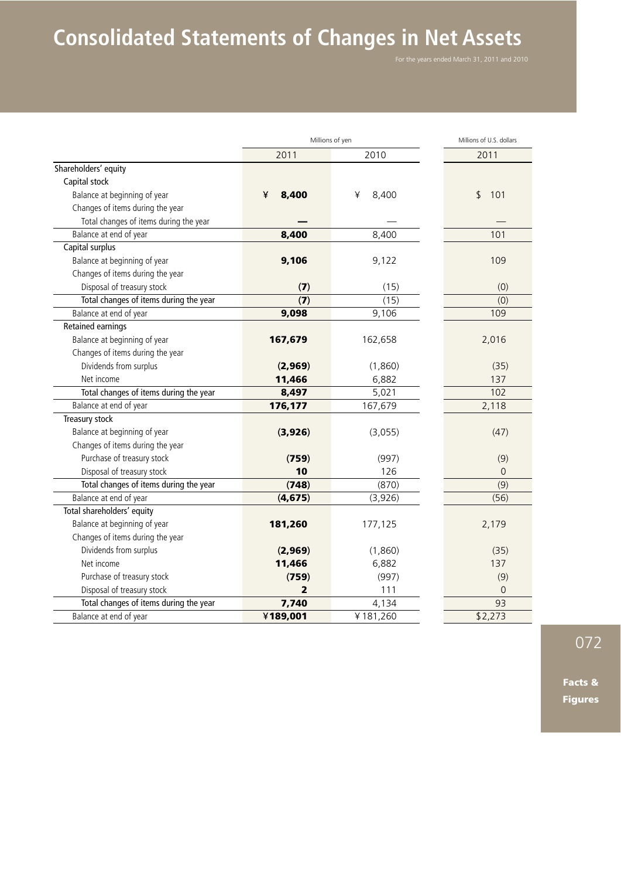## **Consolidated Statements of Changes in Net Assets**

|                                        | Millions of yen |            | Millions of U.S. dollars |
|----------------------------------------|-----------------|------------|--------------------------|
|                                        | 2011            | 2010       | 2011                     |
| Shareholders' equity                   |                 |            |                          |
| Capital stock                          |                 |            |                          |
| Balance at beginning of year           | 8,400<br>¥      | 8,400<br>¥ | \$<br>101                |
| Changes of items during the year       |                 |            |                          |
| Total changes of items during the year |                 |            |                          |
| Balance at end of year                 | 8,400           | 8,400      | 101                      |
| Capital surplus                        |                 |            |                          |
| Balance at beginning of year           | 9,106           | 9,122      | 109                      |
| Changes of items during the year       |                 |            |                          |
| Disposal of treasury stock             | (7)             | (15)       | (0)                      |
| Total changes of items during the year | (7)             | (15)       | (0)                      |
| Balance at end of year                 | 9,098           | 9,106      | 109                      |
| <b>Retained earnings</b>               |                 |            |                          |
| Balance at beginning of year           | 167,679         | 162,658    | 2,016                    |
| Changes of items during the year       |                 |            |                          |
| Dividends from surplus                 | (2,969)         | (1,860)    | (35)                     |
| Net income                             | 11,466          | 6,882      | 137                      |
| Total changes of items during the year | 8,497           | 5,021      | 102                      |
| Balance at end of year                 | 176,177         | 167,679    | 2,118                    |
| Treasury stock                         |                 |            |                          |
| Balance at beginning of year           | (3,926)         | (3,055)    | (47)                     |
| Changes of items during the year       |                 |            |                          |
| Purchase of treasury stock             | (759)           | (997)      | (9)                      |
| Disposal of treasury stock             | 10              | 126        | 0                        |
| Total changes of items during the year | (748)           | (870)      | (9)                      |
| Balance at end of year                 | (4, 675)        | (3,926)    | (56)                     |
| Total shareholders' equity             |                 |            |                          |
| Balance at beginning of year           | 181,260         | 177,125    | 2,179                    |
| Changes of items during the year       |                 |            |                          |
| Dividends from surplus                 | (2,969)         | (1,860)    | (35)                     |
| Net income                             | 11,466          | 6,882      | 137                      |
| Purchase of treasury stock             | (759)           | (997)      | (9)                      |
| Disposal of treasury stock             | 2               | 111        | 0                        |
| Total changes of items during the year | 7,740           | 4,134      | 93                       |
| Balance at end of year                 | ¥189,001        | ¥181,260   | \$2,273                  |

072

Facts & Figures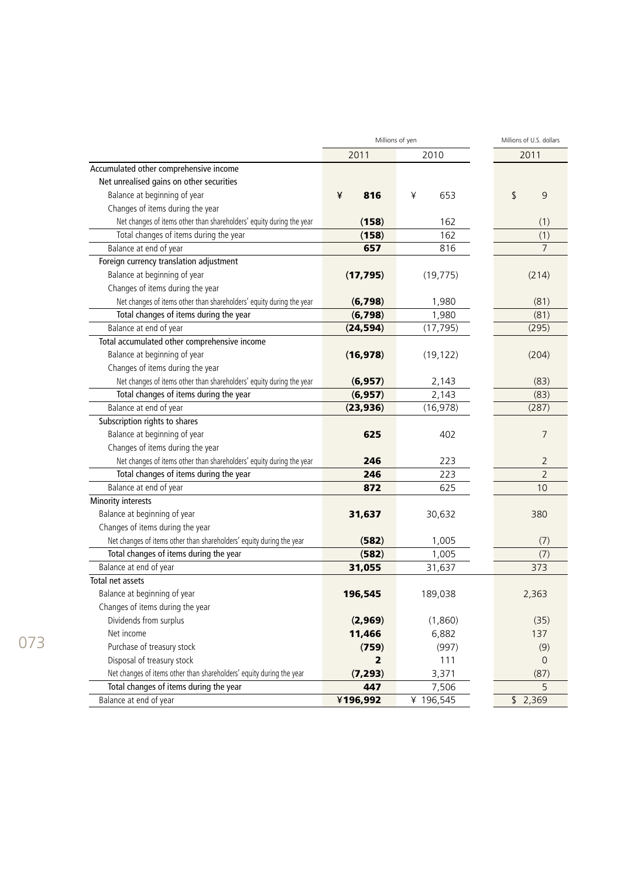|                                                                      |                | Millions of yen | Millions of U.S. dollars |  |
|----------------------------------------------------------------------|----------------|-----------------|--------------------------|--|
|                                                                      | 2011           | 2010            | 2011                     |  |
| Accumulated other comprehensive income                               |                |                 |                          |  |
| Net unrealised gains on other securities                             |                |                 |                          |  |
| Balance at beginning of year                                         | ¥<br>816       | 653<br>¥        | \$<br>9                  |  |
| Changes of items during the year                                     |                |                 |                          |  |
| Net changes of items other than shareholders' equity during the year | (158)          | 162             | (1)                      |  |
| Total changes of items during the year                               | (158)          | 162             | (1)                      |  |
| Balance at end of year                                               | 657            | 816             | 7                        |  |
| Foreign currency translation adjustment                              |                |                 |                          |  |
| Balance at beginning of year                                         | (17, 795)      | (19, 775)       | (214)                    |  |
| Changes of items during the year                                     |                |                 |                          |  |
| Net changes of items other than shareholders' equity during the year | (6,798)        | 1,980           | (81)                     |  |
| Total changes of items during the year                               | (6,798)        | 1,980           | (81)                     |  |
| Balance at end of year                                               | (24, 594)      | (17, 795)       | (295)                    |  |
| Total accumulated other comprehensive income                         |                |                 |                          |  |
| Balance at beginning of year                                         | (16, 978)      | (19, 122)       | (204)                    |  |
| Changes of items during the year                                     |                |                 |                          |  |
| Net changes of items other than shareholders' equity during the year | (6, 957)       | 2,143           | (83)                     |  |
| Total changes of items during the year                               | (6, 957)       | 2,143           | (83)                     |  |
| Balance at end of year                                               | (23, 936)      | (16, 978)       | (287)                    |  |
| Subscription rights to shares                                        |                |                 |                          |  |
| Balance at beginning of year                                         | 625            | 402             | 7                        |  |
| Changes of items during the year                                     |                |                 |                          |  |
| Net changes of items other than shareholders' equity during the year | 246            | 223             | 2                        |  |
| Total changes of items during the year                               | 246            | 223             | $\overline{2}$           |  |
| Balance at end of year                                               | 872            | 625             | 10                       |  |
| Minority interests                                                   |                |                 |                          |  |
| Balance at beginning of year                                         | 31,637         | 30,632          | 380                      |  |
| Changes of items during the year                                     |                |                 |                          |  |
| Net changes of items other than shareholders' equity during the year | (582)          | 1,005           | (7)                      |  |
| Total changes of items during the year                               | (582)          | 1,005           | (7)                      |  |
| Balance at end of year                                               | 31,055         | 31,637          | 373                      |  |
| Total net assets                                                     |                |                 |                          |  |
| Balance at beginning of year                                         | 196,545        | 189,038         | 2,363                    |  |
| Changes of items during the year                                     |                |                 |                          |  |
| Dividends from surplus                                               | (2,969)        | (1,860)         | (35)                     |  |
| Net income                                                           | 11,466         | 6,882           | 137                      |  |
| Purchase of treasury stock                                           | (759)          | (997)           | (9)                      |  |
| Disposal of treasury stock                                           | $\overline{2}$ | 111             | $\overline{0}$           |  |
| Net changes of items other than shareholders' equity during the year | (7, 293)       | 3,371           | (87)                     |  |
| Total changes of items during the year                               | 447            | 7,506           | 5                        |  |
| Balance at end of year                                               | ¥196,992       | ¥ 196,545       | \$2,369                  |  |